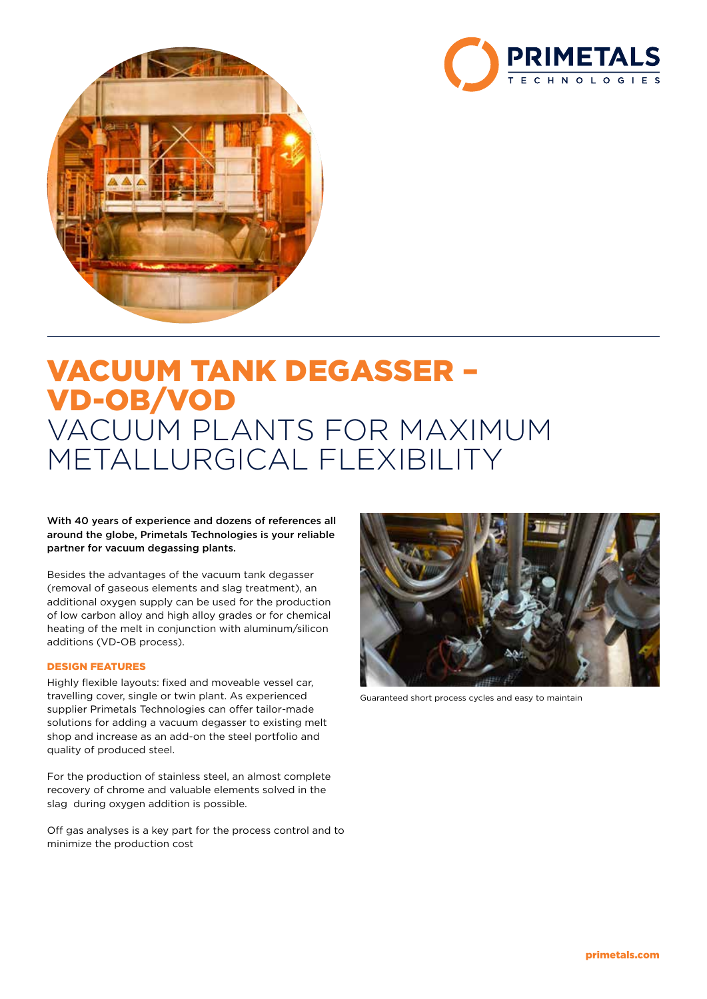



# VACUUM TANK DEGASSER – VD-OB/VOD VACUUM PLANTS FOR MAXIMUM METALLURGICAL FLEXIBILITY

## With 40 years of experience and dozens of references all around the globe, Primetals Technologies is your reliable partner for vacuum degassing plants.

Besides the advantages of the vacuum tank degasser (removal of gaseous elements and slag treatment), an additional oxygen supply can be used for the production of low carbon alloy and high alloy grades or for chemical heating of the melt in conjunction with aluminum/silicon additions (VD-OB process).

## DESIGN FEATURES

Highly flexible layouts: fixed and moveable vessel car, travelling cover, single or twin plant. As experienced supplier Primetals Technologies can offer tailor-made solutions for adding a vacuum degasser to existing melt shop and increase as an add-on the steel portfolio and quality of produced steel.

For the production of stainless steel, an almost complete recovery of chrome and valuable elements solved in the slag during oxygen addition is possible.

Off gas analyses is a key part for the process control and to minimize the production cost



Guaranteed short process cycles and easy to maintain